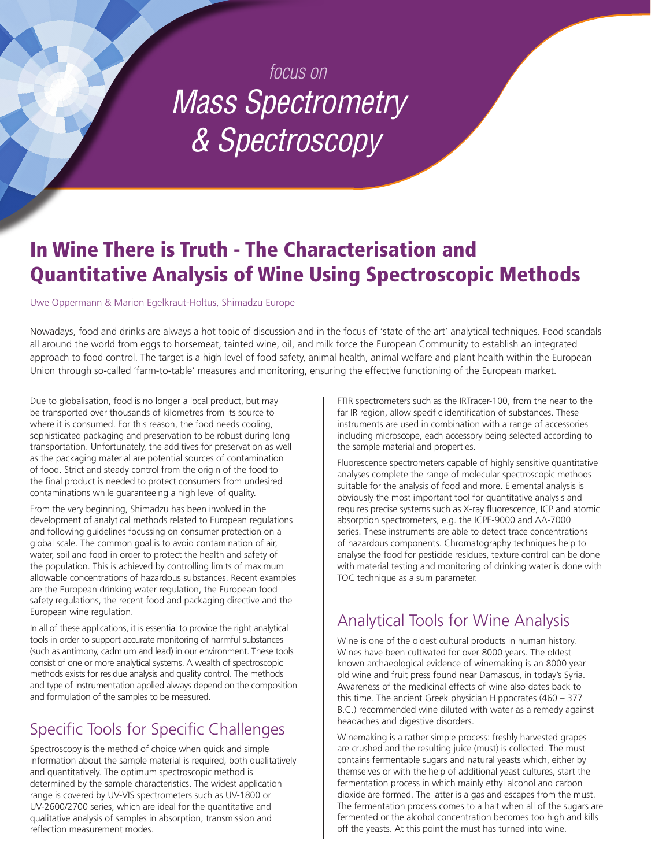# *focus on Mass Spectrometry & Spectroscopy*

## In Wine There is Truth - The Characterisation and Quantitative Analysis of Wine Using Spectroscopic Methods

Uwe Oppermann & Marion Egelkraut-Holtus, Shimadzu Europe

Nowadays, food and drinks are always a hot topic of discussion and in the focus of 'state of the art' analytical techniques. Food scandals all around the world from eggs to horsemeat, tainted wine, oil, and milk force the European Community to establish an integrated approach to food control. The target is a high level of food safety, animal health, animal welfare and plant health within the European Union through so-called 'farm-to-table' measures and monitoring, ensuring the effective functioning of the European market.

Due to globalisation, food is no longer a local product, but may be transported over thousands of kilometres from its source to where it is consumed. For this reason, the food needs cooling, sophisticated packaging and preservation to be robust during long transportation. Unfortunately, the additives for preservation as well as the packaging material are potential sources of contamination of food. Strict and steady control from the origin of the food to the final product is needed to protect consumers from undesired contaminations while guaranteeing a high level of quality.

From the very beginning, Shimadzu has been involved in the development of analytical methods related to European regulations and following guidelines focussing on consumer protection on a global scale. The common goal is to avoid contamination of air, water, soil and food in order to protect the health and safety of the population. This is achieved by controlling limits of maximum allowable concentrations of hazardous substances. Recent examples are the European drinking water regulation, the European food safety regulations, the recent food and packaging directive and the European wine regulation.

In all of these applications, it is essential to provide the right analytical tools in order to support accurate monitoring of harmful substances (such as antimony, cadmium and lead) in our environment. These tools consist of one or more analytical systems. A wealth of spectroscopic methods exists for residue analysis and quality control. The methods and type of instrumentation applied always depend on the composition and formulation of the samples to be measured.

#### Specific Tools for Specific Challenges

Spectroscopy is the method of choice when quick and simple information about the sample material is required, both qualitatively and quantitatively. The optimum spectroscopic method is determined by the sample characteristics. The widest application range is covered by UV-VIS spectrometers such as UV-1800 or UV-2600/2700 series, which are ideal for the quantitative and qualitative analysis of samples in absorption, transmission and reflection measurement modes.

FTIR spectrometers such as the IRTracer-100, from the near to the far IR region, allow specific identification of substances. These instruments are used in combination with a range of accessories including microscope, each accessory being selected according to the sample material and properties.

Fluorescence spectrometers capable of highly sensitive quantitative analyses complete the range of molecular spectroscopic methods suitable for the analysis of food and more. Elemental analysis is obviously the most important tool for quantitative analysis and requires precise systems such as X-ray fluorescence, ICP and atomic absorption spectrometers, e.g. the ICPE-9000 and AA-7000 series. These instruments are able to detect trace concentrations of hazardous components. Chromatography techniques help to analyse the food for pesticide residues, texture control can be done with material testing and monitoring of drinking water is done with TOC technique as a sum parameter.

## Analytical Tools for Wine Analysis

Wine is one of the oldest cultural products in human history. Wines have been cultivated for over 8000 years. The oldest known archaeological evidence of winemaking is an 8000 year old wine and fruit press found near Damascus, in today's Syria. Awareness of the medicinal effects of wine also dates back to this time. The ancient Greek physician Hippocrates (460 – 377 B.C.) recommended wine diluted with water as a remedy against headaches and digestive disorders.

Winemaking is a rather simple process: freshly harvested grapes are crushed and the resulting juice (must) is collected. The must contains fermentable sugars and natural yeasts which, either by themselves or with the help of additional yeast cultures, start the fermentation process in which mainly ethyl alcohol and carbon dioxide are formed. The latter is a gas and escapes from the must. The fermentation process comes to a halt when all of the sugars are fermented or the alcohol concentration becomes too high and kills off the yeasts. At this point the must has turned into wine.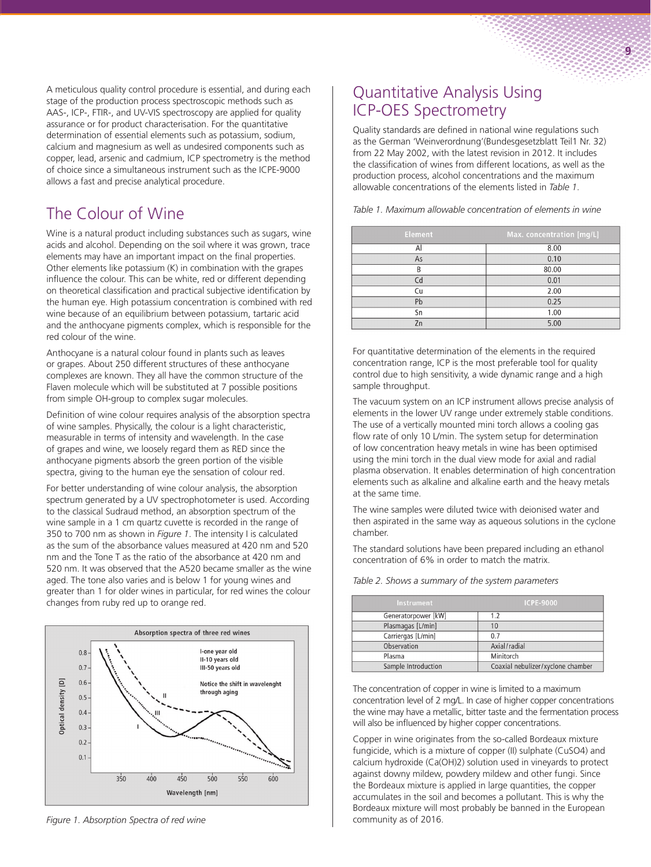A meticulous quality control procedure is essential, and during each stage of the production process spectroscopic methods such as AAS-, ICP-, FTIR-, and UV-VIS spectroscopy are applied for quality assurance or for product characterisation. For the quantitative determination of essential elements such as potassium, sodium, calcium and magnesium as well as undesired components such as copper, lead, arsenic and cadmium, ICP spectrometry is the method of choice since a simultaneous instrument such as the ICPE-9000 allows a fast and precise analytical procedure.

### The Colour of Wine

Wine is a natural product including substances such as sugars, wine acids and alcohol. Depending on the soil where it was grown, trace elements may have an important impact on the final properties. Other elements like potassium (K) in combination with the grapes influence the colour. This can be white, red or different depending on theoretical classification and practical subjective identification by the human eye. High potassium concentration is combined with red wine because of an equilibrium between potassium, tartaric acid and the anthocyane pigments complex, which is responsible for the red colour of the wine.

Anthocyane is a natural colour found in plants such as leaves or grapes. About 250 different structures of these anthocyane complexes are known. They all have the common structure of the Flaven molecule which will be substituted at 7 possible positions from simple OH-group to complex sugar molecules.

Definition of wine colour requires analysis of the absorption spectra of wine samples. Physically, the colour is a light characteristic, measurable in terms of intensity and wavelength. In the case of grapes and wine, we loosely regard them as RED since the anthocyane pigments absorb the green portion of the visible spectra, giving to the human eye the sensation of colour red.

For better understanding of wine colour analysis, the absorption spectrum generated by a UV spectrophotometer is used. According to the classical Sudraud method, an absorption spectrum of the wine sample in a 1 cm quartz cuvette is recorded in the range of 350 to 700 nm as shown in *Figure 1*. The intensity I is calculated as the sum of the absorbance values measured at 420 nm and 520 nm and the Tone T as the ratio of the absorbance at 420 nm and 520 nm. It was observed that the A520 became smaller as the wine aged. The tone also varies and is below 1 for young wines and greater than 1 for older wines in particular, for red wines the colour changes from ruby red up to orange red.



*Figure 1. Absorption Spectra of red wine*

#### Quantitative Analysis Using ICP-OES Spectrometry

Quality standards are defined in national wine regulations such as the German 'Weinverordnung'(Bundesgesetzblatt Teil1 Nr. 32) from 22 May 2002, with the latest revision in 2012. It includes the classification of wines from different locations, as well as the production process, alcohol concentrations and the maximum allowable concentrations of the elements listed in *Table 1*.

**9**

*Table 1. Maximum allowable concentration of elements in wine*

| <b>Element</b> | Max. concentration [mg/L] |
|----------------|---------------------------|
| Al             | 8.00                      |
| As             | 0.10                      |
| B              | 80.00                     |
| Cd             | 0.01                      |
| Cu             | 2.00                      |
| Pb             | 0.25                      |
| Sn             | 1.00                      |
| 7n             | 5.00                      |

For quantitative determination of the elements in the required concentration range, ICP is the most preferable tool for quality control due to high sensitivity, a wide dynamic range and a high sample throughput.

The vacuum system on an ICP instrument allows precise analysis of elements in the lower UV range under extremely stable conditions. The use of a vertically mounted mini torch allows a cooling gas flow rate of only 10 L/min. The system setup for determination of low concentration heavy metals in wine has been optimised using the mini torch in the dual view mode for axial and radial plasma observation. It enables determination of high concentration elements such as alkaline and alkaline earth and the heavy metals at the same time.

The wine samples were diluted twice with deionised water and then aspirated in the same way as aqueous solutions in the cyclone chamber.

The standard solutions have been prepared including an ethanol concentration of 6% in order to match the matrix.

| Table 2. Shows a summary of the system parameters |  |  |
|---------------------------------------------------|--|--|
|                                                   |  |  |

| Instrument          | <b>ICPE-9000</b>                  |
|---------------------|-----------------------------------|
| Generatorpower [kW] | 1.2                               |
| Plasmagas [L/min]   | 10                                |
| Carriergas [L/min]  | 0.7                               |
| Observation         | Axial/radial                      |
| Plasma              | Minitorch                         |
| Sample Introduction | Coaxial nebulizer/xyclone chamber |
|                     |                                   |

The concentration of copper in wine is limited to a maximum concentration level of 2 mg/L. In case of higher copper concentrations the wine may have a metallic, bitter taste and the fermentation process will also be influenced by higher copper concentrations.

Copper in wine originates from the so-called Bordeaux mixture fungicide, which is a mixture of copper (II) sulphate (CuSO4) and calcium hydroxide (Ca(OH)2) solution used in vineyards to protect against downy mildew, powdery mildew and other fungi. Since the Bordeaux mixture is applied in large quantities, the copper accumulates in the soil and becomes a pollutant. This is why the Bordeaux mixture will most probably be banned in the European community as of 2016.